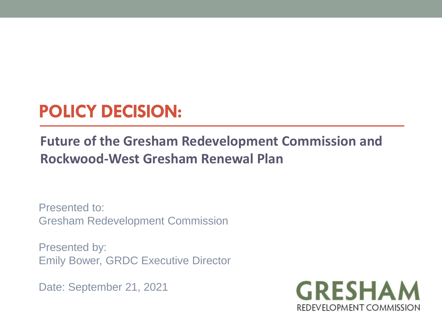## **POLICY DECISION:**

### **Future of the Gresham Redevelopment Commission and Rockwood-West Gresham Renewal Plan**

Presented to: Gresham Redevelopment Commission

Presented by: Emily Bower, GRDC Executive Director

Date: September 21, 2021

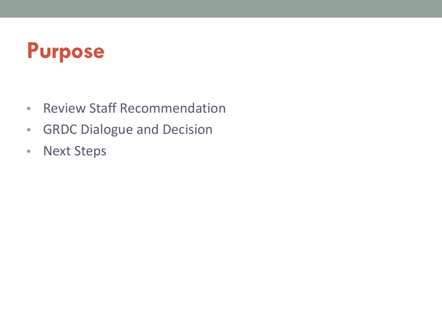## **Purpose**

- Review Staff Recommendation
- GRDC Dialogue and Decision
- Next Steps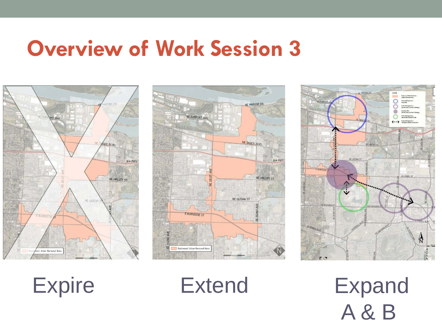## **Overview of Work Session 3**



**ME MARINE DI** NE AIRPORT WAY NE SANDY BLVD IB4 FWY NE HALSEY ST NE GLISAN ST E BURNSIDE ST **RELE** Rockwood Urban Renewal Area





A & B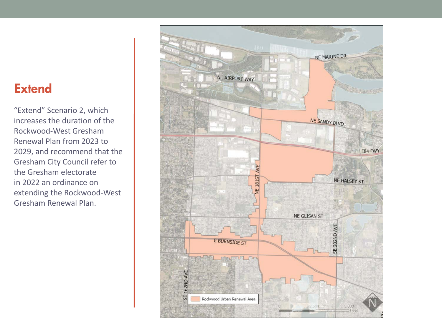### **Extend**

"Extend" Scenario 2, which increases the duration of the Rockwood-West Gresham Renewal Plan from 2023 to 2029, and recommend that the Gresham City Council refer to the Gresham electorate in 2022 an ordinance on extending the Rockwood-West Gresham Renewal Plan.

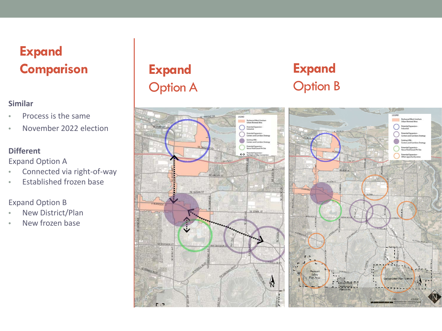### **Expand Comparison**

#### **Similar**

- Process is the same
- November 2022 election

#### **Different**

Expand Option A

- Connected via right-of-way
- Established frozen base

Expand Option B

- New District/Plan
- New frozen base

### **Expand** Option A



### **Expand** Option B

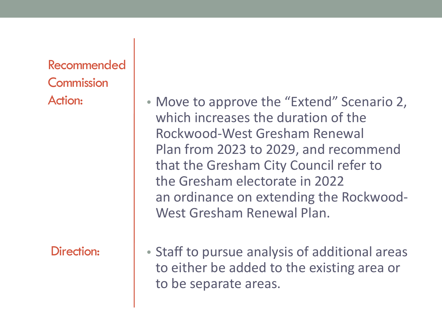Recommended **Commission** 

Direction:

Action: **• Move to approve the "Extend" Scenario 2,** which increases the duration of the Rockwood-West Gresham Renewal Plan from 2023 to 2029, and recommend that the Gresham City Council refer to the Gresham electorate in 2022 an ordinance on extending the Rockwood-West Gresham Renewal Plan.

> • Staff to pursue analysis of additional areas to either be added to the existing area or to be separate areas.